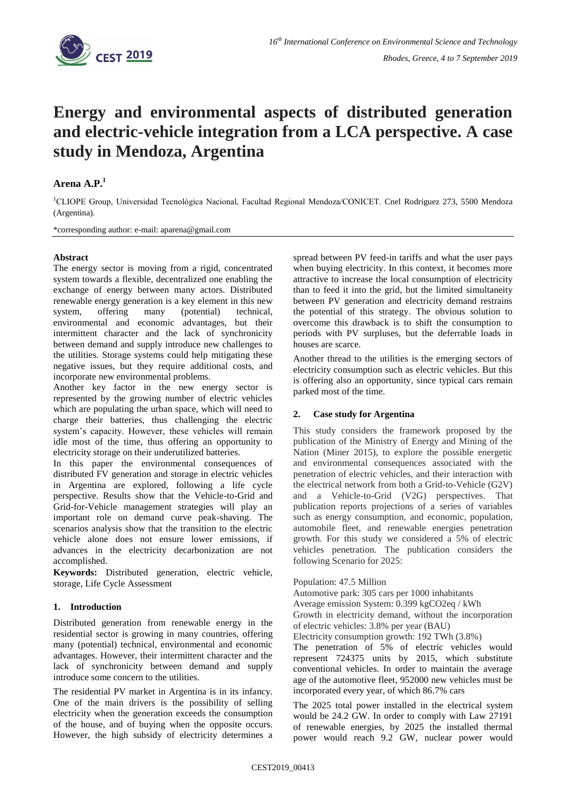

# **Energy and environmental aspects of distributed generation and electric-vehicle integration from a LCA perspective. A case study in Mendoza, Argentina**

## **Arena A.P. 1**

<sup>1</sup>CLIOPE Group, Universidad Tecnológica Nacional, Facultad Regional Mendoza/CONICET. Cnel Rodríguez 273, 5500 Mendoza (Argentina).

\*corresponding author: e-mail: aparena@gmail.com

#### **Abstract**

The energy sector is moving from a rigid, concentrated system towards a flexible, decentralized one enabling the exchange of energy between many actors. Distributed renewable energy generation is a key element in this new system, offering many (potential) technical, environmental and economic advantages, but their intermittent character and the lack of synchronicity between demand and supply introduce new challenges to the utilities. Storage systems could help mitigating these negative issues, but they require additional costs, and incorporate new environmental problems.

Another key factor in the new energy sector is represented by the growing number of electric vehicles which are populating the urban space, which will need to charge their batteries, thus challenging the electric system's capacity. However, these vehicles will remain idle most of the time, thus offering an opportunity to electricity storage on their underutilized batteries.

In this paper the environmental consequences of distributed FV generation and storage in electric vehicles in Argentina are explored, following a life cycle perspective. Results show that the Vehicle-to-Grid and Grid-for-Vehicle management strategies will play an important role on demand curve peak-shaving. The scenarios analysis show that the transition to the electric vehicle alone does not ensure lower emissions, if advances in the electricity decarbonization are not accomplished.

**Keywords:** Distributed generation, electric vehicle, storage, Life Cycle Assessment

#### **1. Introduction**

Distributed generation from renewable energy in the residential sector is growing in many countries, offering many (potential) technical, environmental and economic advantages. However, their intermittent character and the lack of synchronicity between demand and supply introduce some concern to the utilities.

The residential PV market in Argentina is in its infancy. One of the main drivers is the possibility of selling electricity when the generation exceeds the consumption of the house, and of buying when the opposite occurs. However, the high subsidy of electricity determines a spread between PV feed-in tariffs and what the user pays when buying electricity. In this context, it becomes more attractive to increase the local consumption of electricity than to feed it into the grid, but the limited simultaneity between PV generation and electricity demand restrains the potential of this strategy. The obvious solution to overcome this drawback is to shift the consumption to periods with PV surpluses, but the deferrable loads in houses are scarce.

Another thread to the utilities is the emerging sectors of electricity consumption such as electric vehicles. But this is offering also an opportunity, since typical cars remain parked most of the time.

#### **2. Case study for Argentina**

This study considers the framework proposed by the publication of the Ministry of Energy and Mining of the Nation (Miner 2015), to explore the possible energetic and environmental consequences associated with the penetration of electric vehicles, and their interaction with the electrical network from both a Grid-to-Vehicle (G2V) and a Vehicle-to-Grid (V2G) perspectives. That publication reports projections of a series of variables such as energy consumption, and economic, population, automobile fleet, and renewable energies penetration growth. For this study we considered a 5% of electric vehicles penetration. The publication considers the following Scenario for 2025:

Population: 47.5 Million

Automotive park: 305 cars per 1000 inhabitants Average emission System: 0.399 kgCO2eq / kWh Growth in electricity demand, without the incorporation of electric vehicles: 3.8% per year (BAU) Electricity consumption growth: 192 TWh (3.8%) The penetration of 5% of electric vehicles would represent 724375 units by 2015, which substitute conventional vehicles. In order to maintain the average age of the automotive fleet, 952000 new vehicles must be incorporated every year, of which 86.7% cars

The 2025 total power installed in the electrical system would be 24.2 GW. In order to comply with Law 27191 of renewable energies, by 2025 the installed thermal power would reach 9.2 GW, nuclear power would